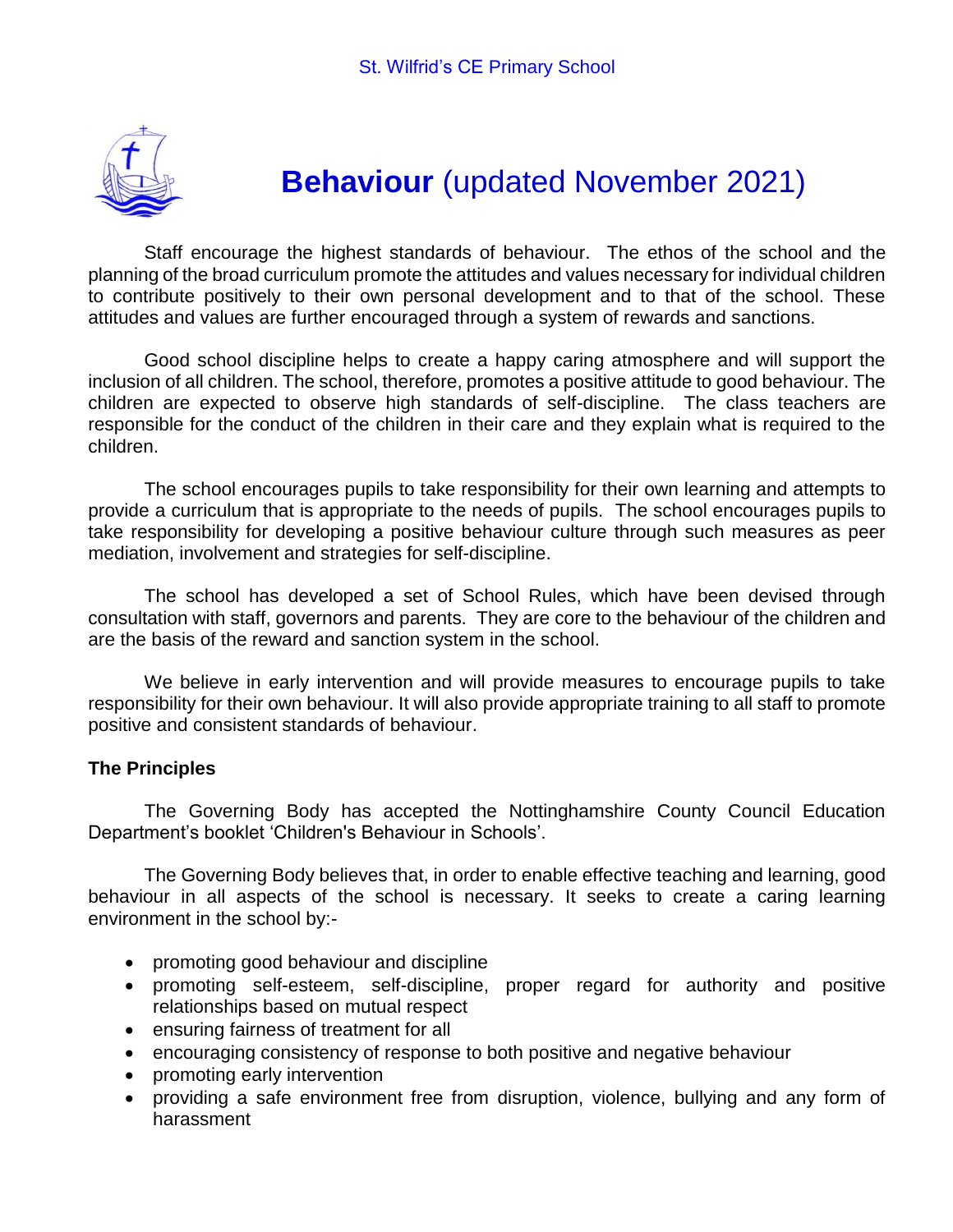

# **Behaviour** (updated November 2021)

Staff encourage the highest standards of behaviour. The ethos of the school and the planning of the broad curriculum promote the attitudes and values necessary for individual children to contribute positively to their own personal development and to that of the school. These attitudes and values are further encouraged through a system of rewards and sanctions.

Good school discipline helps to create a happy caring atmosphere and will support the inclusion of all children. The school, therefore, promotes a positive attitude to good behaviour. The children are expected to observe high standards of self-discipline. The class teachers are responsible for the conduct of the children in their care and they explain what is required to the children.

The school encourages pupils to take responsibility for their own learning and attempts to provide a curriculum that is appropriate to the needs of pupils. The school encourages pupils to take responsibility for developing a positive behaviour culture through such measures as peer mediation, involvement and strategies for self-discipline.

The school has developed a set of School Rules, which have been devised through consultation with staff, governors and parents. They are core to the behaviour of the children and are the basis of the reward and sanction system in the school.

We believe in early intervention and will provide measures to encourage pupils to take responsibility for their own behaviour. It will also provide appropriate training to all staff to promote positive and consistent standards of behaviour.

#### **The Principles**

The Governing Body has accepted the Nottinghamshire County Council Education Department's booklet 'Children's Behaviour in Schools'.

The Governing Body believes that, in order to enable effective teaching and learning, good behaviour in all aspects of the school is necessary. It seeks to create a caring learning environment in the school by:-

- promoting good behaviour and discipline
- promoting self-esteem, self-discipline, proper regard for authority and positive relationships based on mutual respect
- ensuring fairness of treatment for all
- encouraging consistency of response to both positive and negative behaviour
- promoting early intervention
- providing a safe environment free from disruption, violence, bullying and any form of harassment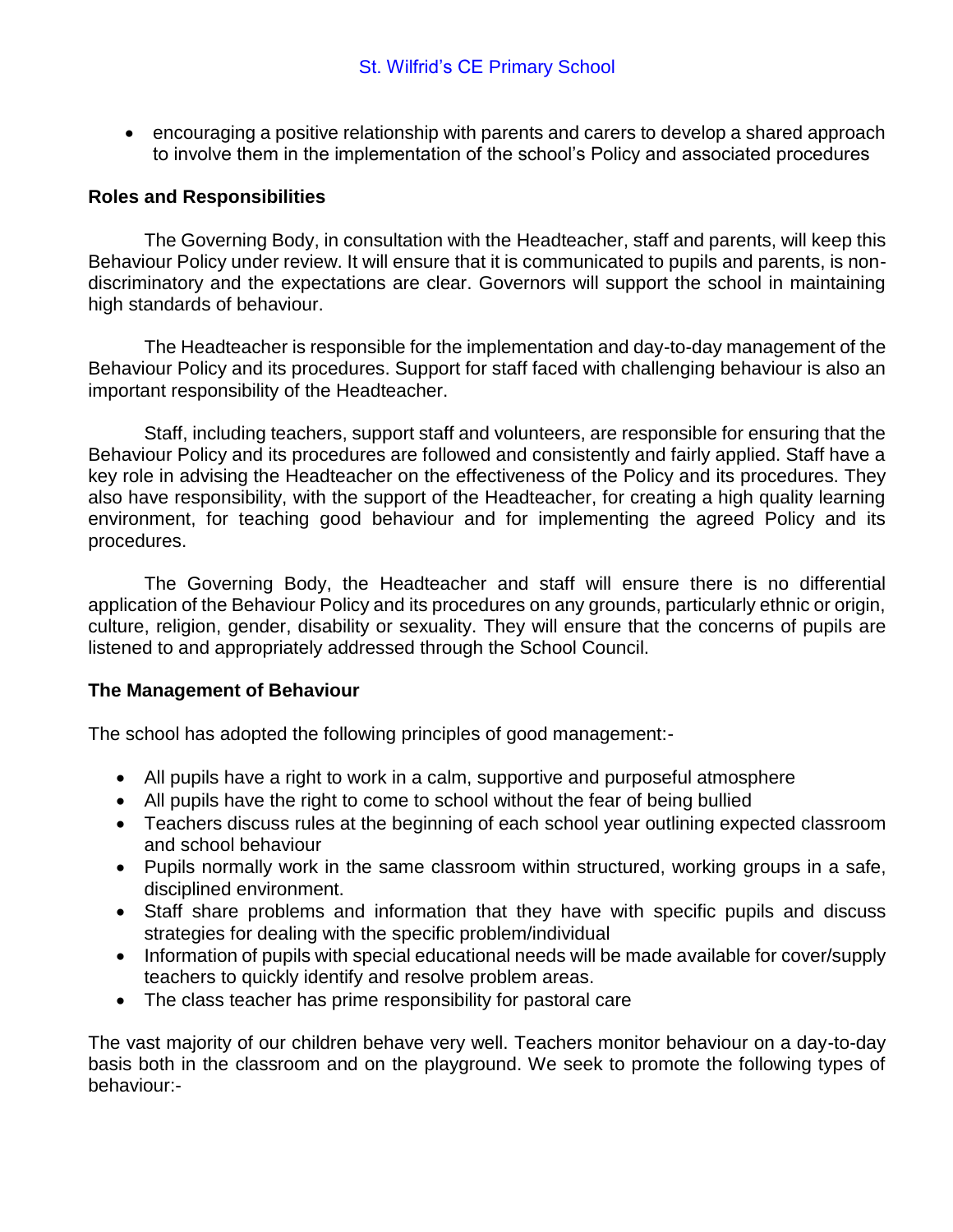encouraging a positive relationship with parents and carers to develop a shared approach to involve them in the implementation of the school's Policy and associated procedures

## **Roles and Responsibilities**

The Governing Body, in consultation with the Headteacher, staff and parents, will keep this Behaviour Policy under review. It will ensure that it is communicated to pupils and parents, is nondiscriminatory and the expectations are clear. Governors will support the school in maintaining high standards of behaviour.

The Headteacher is responsible for the implementation and day-to-day management of the Behaviour Policy and its procedures. Support for staff faced with challenging behaviour is also an important responsibility of the Headteacher.

Staff, including teachers, support staff and volunteers, are responsible for ensuring that the Behaviour Policy and its procedures are followed and consistently and fairly applied. Staff have a key role in advising the Headteacher on the effectiveness of the Policy and its procedures. They also have responsibility, with the support of the Headteacher, for creating a high quality learning environment, for teaching good behaviour and for implementing the agreed Policy and its procedures.

The Governing Body, the Headteacher and staff will ensure there is no differential application of the Behaviour Policy and its procedures on any grounds, particularly ethnic or origin, culture, religion, gender, disability or sexuality. They will ensure that the concerns of pupils are listened to and appropriately addressed through the School Council.

#### **The Management of Behaviour**

The school has adopted the following principles of good management:-

- All pupils have a right to work in a calm, supportive and purposeful atmosphere
- All pupils have the right to come to school without the fear of being bullied
- Teachers discuss rules at the beginning of each school year outlining expected classroom and school behaviour
- Pupils normally work in the same classroom within structured, working groups in a safe, disciplined environment.
- Staff share problems and information that they have with specific pupils and discuss strategies for dealing with the specific problem/individual
- Information of pupils with special educational needs will be made available for cover/supply teachers to quickly identify and resolve problem areas.
- The class teacher has prime responsibility for pastoral care

The vast majority of our children behave very well. Teachers monitor behaviour on a day-to-day basis both in the classroom and on the playground. We seek to promote the following types of behaviour:-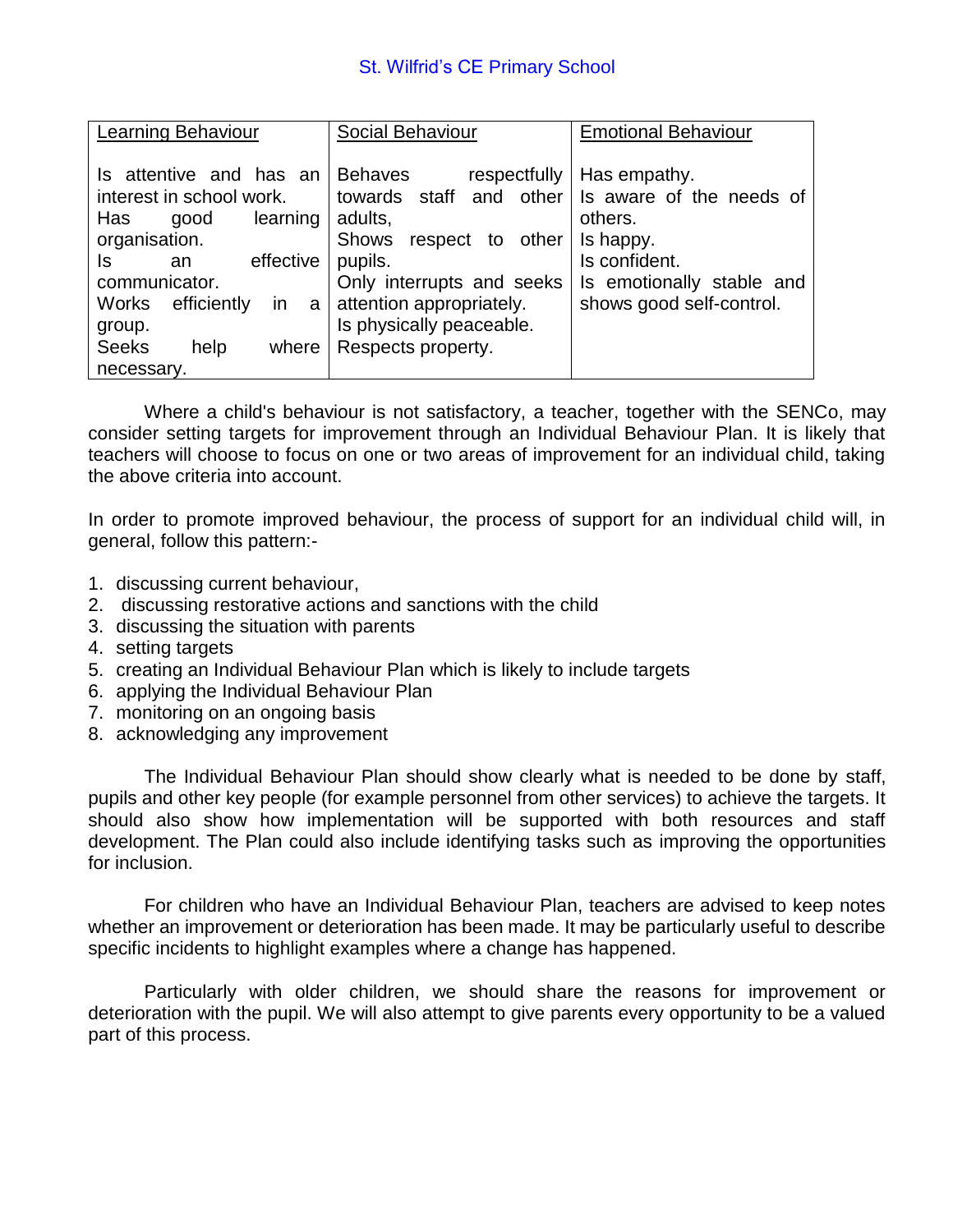| Learning Behaviour                                                                                                                                                                                                                            | Social Behaviour                                                                                                                                                                                                           | <b>Emotional Behaviour</b>                                                                                                                 |
|-----------------------------------------------------------------------------------------------------------------------------------------------------------------------------------------------------------------------------------------------|----------------------------------------------------------------------------------------------------------------------------------------------------------------------------------------------------------------------------|--------------------------------------------------------------------------------------------------------------------------------------------|
| Is attentive and has an<br>interest in school work.<br>Has<br>learning<br>good<br>organisation.<br>effective<br>ls<br>an<br>communicator.<br><b>Works</b><br>efficiently<br>in.<br>a<br>group.<br><b>Seeks</b><br>help<br>where<br>necessary. | <b>Behaves</b><br>respectfully<br>towards staff and other<br>adults,<br>Shows<br>respect to<br>other<br>pupils.<br>Only interrupts and seeks<br>attention appropriately.<br>Is physically peaceable.<br>Respects property. | Has empathy.<br>Is aware of the needs of<br>others.<br>Is happy.<br>Is confident.<br>Is emotionally stable and<br>shows good self-control. |

Where a child's behaviour is not satisfactory, a teacher, together with the SENCo, may consider setting targets for improvement through an Individual Behaviour Plan. It is likely that teachers will choose to focus on one or two areas of improvement for an individual child, taking the above criteria into account.

In order to promote improved behaviour, the process of support for an individual child will, in general, follow this pattern:-

- 1. discussing current behaviour,
- 2. discussing restorative actions and sanctions with the child
- 3. discussing the situation with parents
- 4. setting targets
- 5. creating an Individual Behaviour Plan which is likely to include targets
- 6. applying the Individual Behaviour Plan
- 7. monitoring on an ongoing basis
- 8. acknowledging any improvement

The Individual Behaviour Plan should show clearly what is needed to be done by staff, pupils and other key people (for example personnel from other services) to achieve the targets. It should also show how implementation will be supported with both resources and staff development. The Plan could also include identifying tasks such as improving the opportunities for inclusion.

For children who have an Individual Behaviour Plan, teachers are advised to keep notes whether an improvement or deterioration has been made. It may be particularly useful to describe specific incidents to highlight examples where a change has happened.

Particularly with older children, we should share the reasons for improvement or deterioration with the pupil. We will also attempt to give parents every opportunity to be a valued part of this process.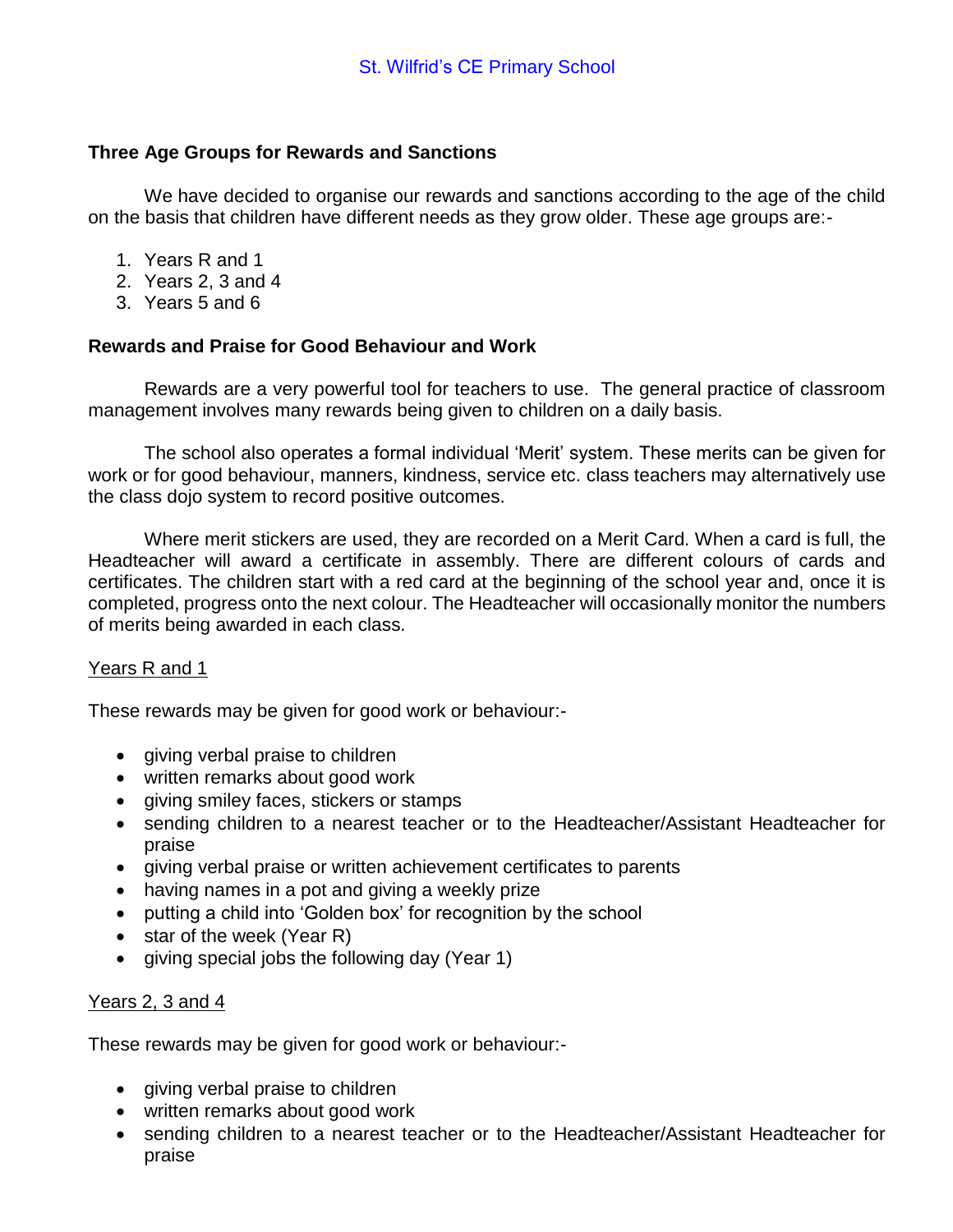## **Three Age Groups for Rewards and Sanctions**

We have decided to organise our rewards and sanctions according to the age of the child on the basis that children have different needs as they grow older. These age groups are:-

- 1. Years R and 1
- 2. Years 2, 3 and 4
- 3. Years 5 and 6

# **Rewards and Praise for Good Behaviour and Work**

Rewards are a very powerful tool for teachers to use. The general practice of classroom management involves many rewards being given to children on a daily basis.

The school also operates a formal individual 'Merit' system. These merits can be given for work or for good behaviour, manners, kindness, service etc. class teachers may alternatively use the class dojo system to record positive outcomes.

Where merit stickers are used, they are recorded on a Merit Card. When a card is full, the Headteacher will award a certificate in assembly. There are different colours of cards and certificates. The children start with a red card at the beginning of the school year and, once it is completed, progress onto the next colour. The Headteacher will occasionally monitor the numbers of merits being awarded in each class.

#### Years R and 1

These rewards may be given for good work or behaviour:-

- giving verbal praise to children
- written remarks about good work
- giving smiley faces, stickers or stamps
- sending children to a nearest teacher or to the Headteacher/Assistant Headteacher for praise
- giving verbal praise or written achievement certificates to parents
- having names in a pot and giving a weekly prize
- putting a child into 'Golden box' for recognition by the school
- $\bullet$  star of the week (Year R)
- giving special jobs the following day (Year 1)

#### Years 2, 3 and 4

These rewards may be given for good work or behaviour:-

- giving verbal praise to children
- written remarks about good work
- sending children to a nearest teacher or to the Headteacher/Assistant Headteacher for praise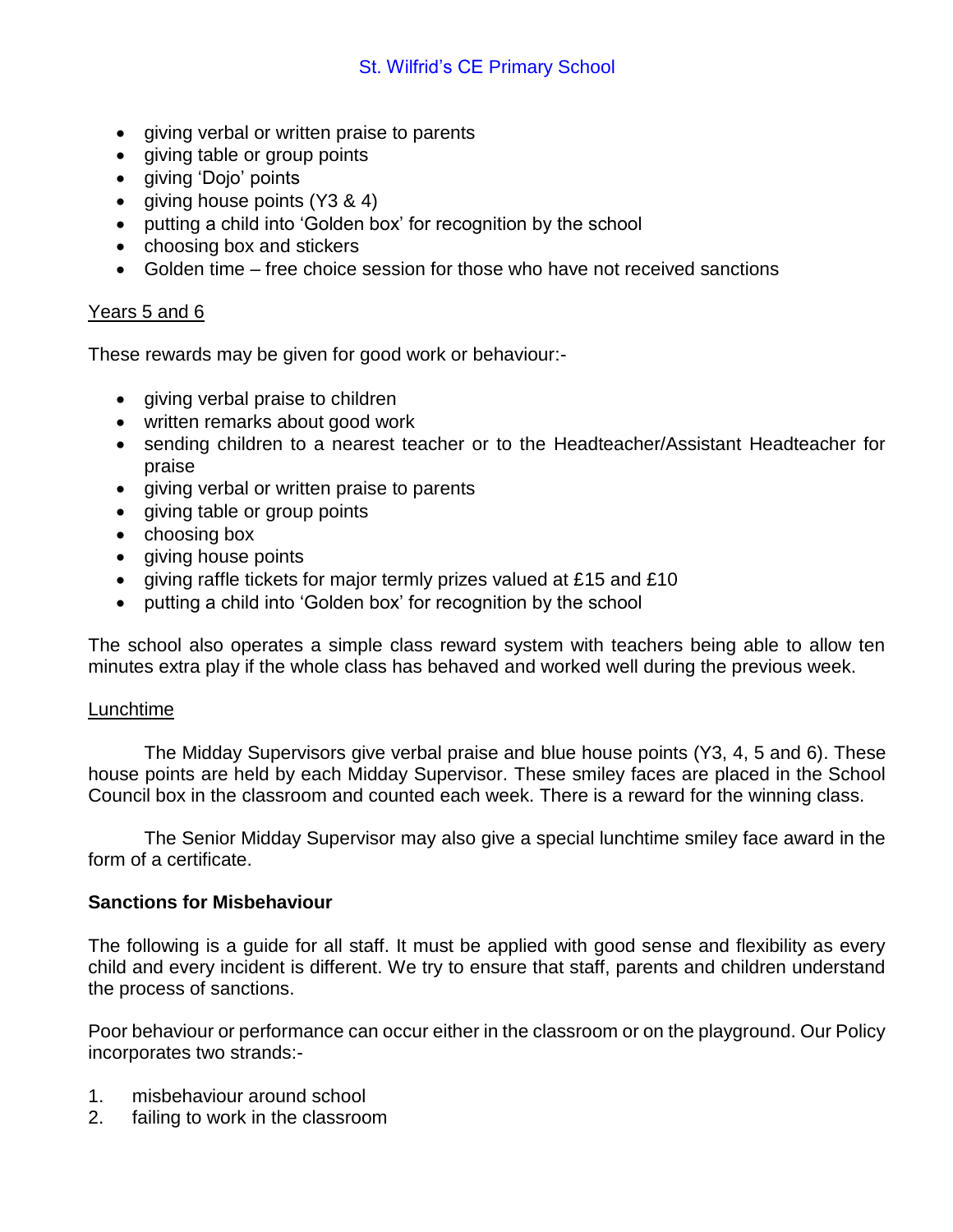- giving verbal or written praise to parents
- giving table or group points
- giving 'Dojo' points
- giving house points (Y3 & 4)
- putting a child into 'Golden box' for recognition by the school
- choosing box and stickers
- Golden time free choice session for those who have not received sanctions

## Years 5 and 6

These rewards may be given for good work or behaviour:-

- giving verbal praise to children
- written remarks about good work
- sending children to a nearest teacher or to the Headteacher/Assistant Headteacher for praise
- giving verbal or written praise to parents
- giving table or group points
- choosing box
- giving house points
- giving raffle tickets for major termly prizes valued at £15 and £10
- putting a child into 'Golden box' for recognition by the school

The school also operates a simple class reward system with teachers being able to allow ten minutes extra play if the whole class has behaved and worked well during the previous week.

#### Lunchtime

The Midday Supervisors give verbal praise and blue house points (Y3, 4, 5 and 6). These house points are held by each Midday Supervisor. These smiley faces are placed in the School Council box in the classroom and counted each week. There is a reward for the winning class.

The Senior Midday Supervisor may also give a special lunchtime smiley face award in the form of a certificate.

#### **Sanctions for Misbehaviour**

The following is a guide for all staff. It must be applied with good sense and flexibility as every child and every incident is different. We try to ensure that staff, parents and children understand the process of sanctions.

Poor behaviour or performance can occur either in the classroom or on the playground. Our Policy incorporates two strands:-

- 1. misbehaviour around school
- 2. failing to work in the classroom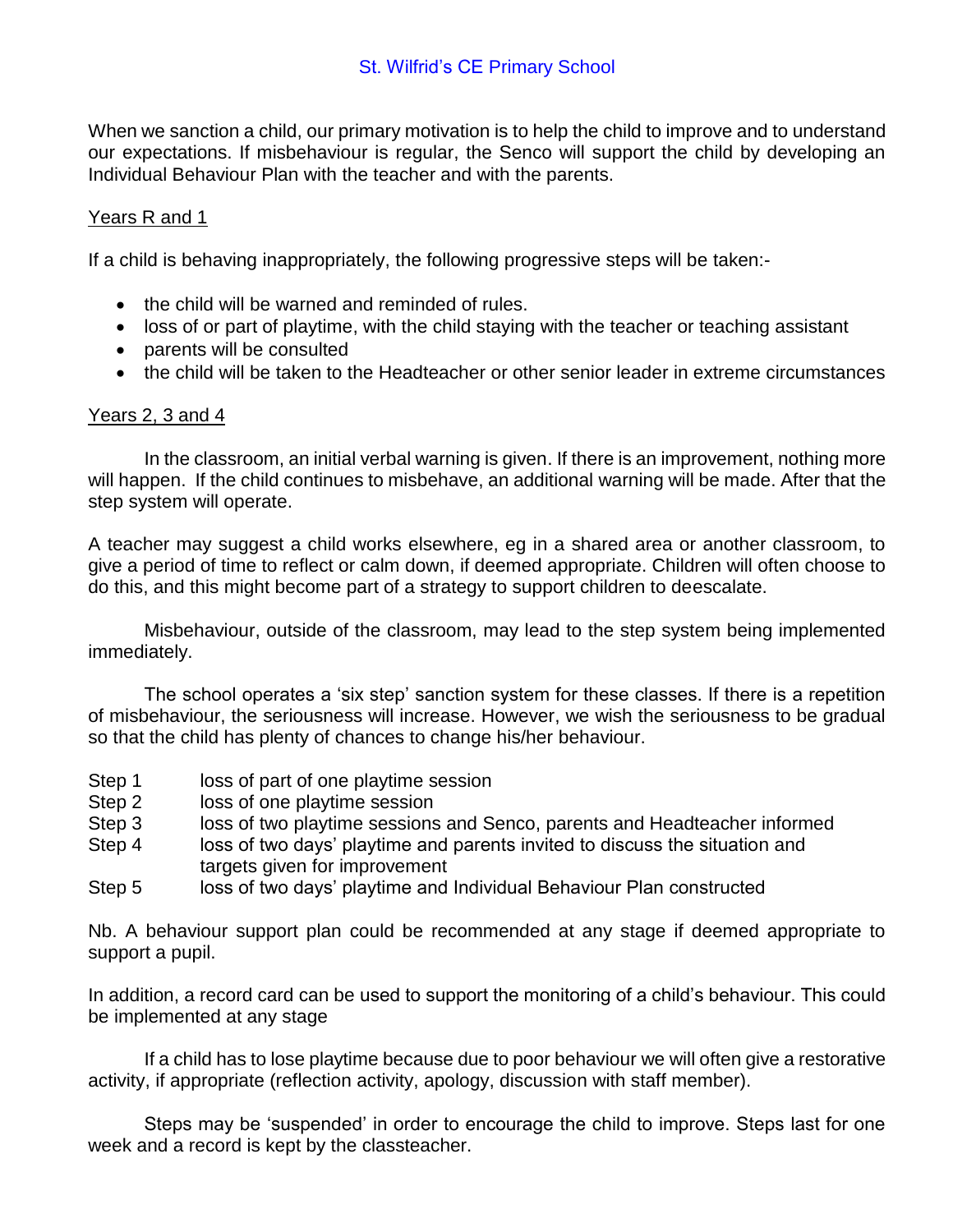When we sanction a child, our primary motivation is to help the child to improve and to understand our expectations. If misbehaviour is regular, the Senco will support the child by developing an Individual Behaviour Plan with the teacher and with the parents.

# Years R and 1

If a child is behaving inappropriately, the following progressive steps will be taken:-

- the child will be warned and reminded of rules.
- loss of or part of playtime, with the child staying with the teacher or teaching assistant
- parents will be consulted
- the child will be taken to the Headteacher or other senior leader in extreme circumstances

#### Years 2, 3 and 4

In the classroom, an initial verbal warning is given. If there is an improvement, nothing more will happen. If the child continues to misbehave, an additional warning will be made. After that the step system will operate.

A teacher may suggest a child works elsewhere, eg in a shared area or another classroom, to give a period of time to reflect or calm down, if deemed appropriate. Children will often choose to do this, and this might become part of a strategy to support children to deescalate.

Misbehaviour, outside of the classroom, may lead to the step system being implemented immediately.

The school operates a 'six step' sanction system for these classes. If there is a repetition of misbehaviour, the seriousness will increase. However, we wish the seriousness to be gradual so that the child has plenty of chances to change his/her behaviour.

- Step 1 loss of part of one playtime session
- Step 2 loss of one playtime session
- Step 3 loss of two playtime sessions and Senco, parents and Headteacher informed
- Step 4 loss of two days' playtime and parents invited to discuss the situation and targets given for improvement
- Step 5 loss of two days' playtime and Individual Behaviour Plan constructed

Nb. A behaviour support plan could be recommended at any stage if deemed appropriate to support a pupil.

In addition, a record card can be used to support the monitoring of a child's behaviour. This could be implemented at any stage

If a child has to lose playtime because due to poor behaviour we will often give a restorative activity, if appropriate (reflection activity, apology, discussion with staff member).

Steps may be 'suspended' in order to encourage the child to improve. Steps last for one week and a record is kept by the classteacher.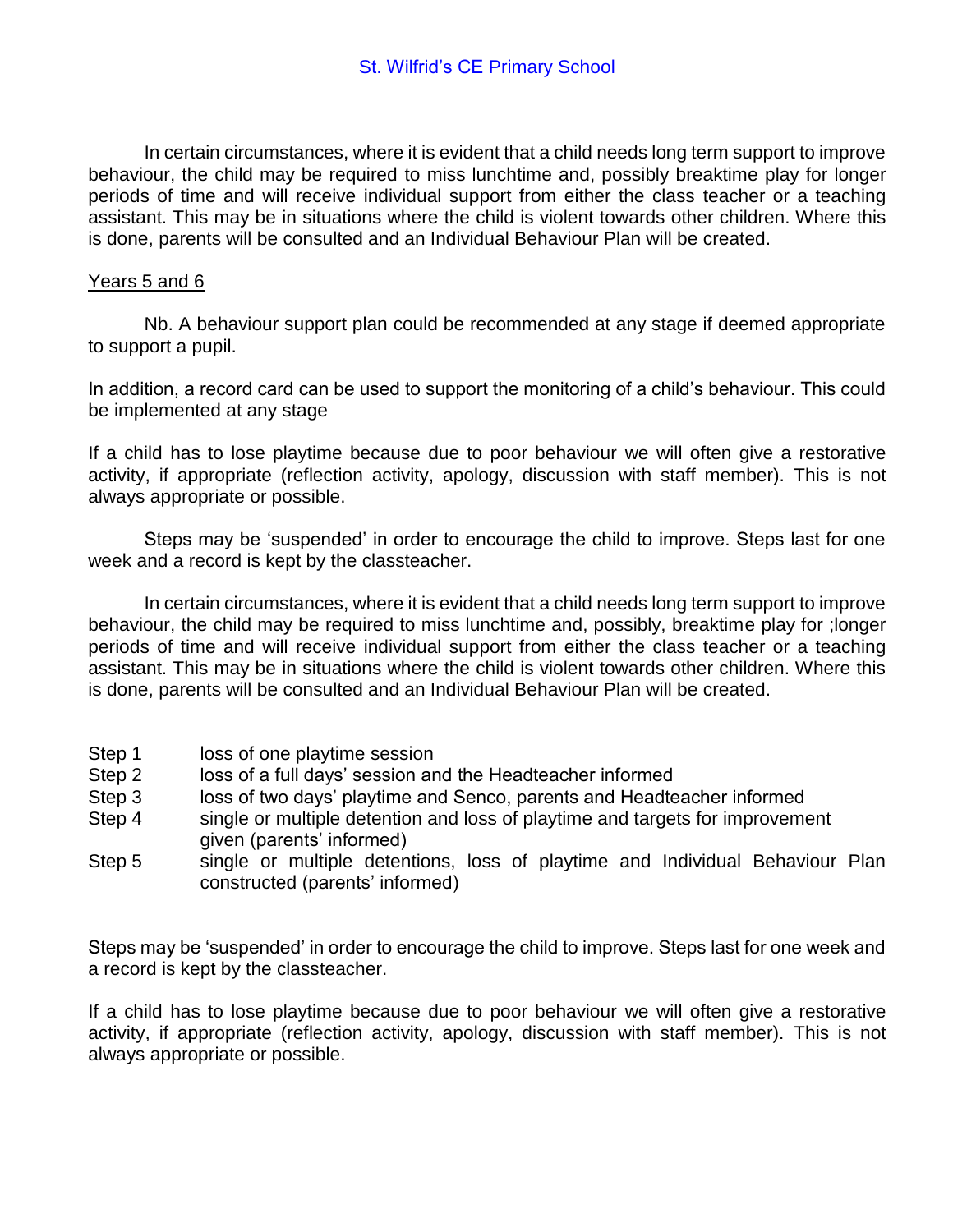In certain circumstances, where it is evident that a child needs long term support to improve behaviour, the child may be required to miss lunchtime and, possibly breaktime play for longer periods of time and will receive individual support from either the class teacher or a teaching assistant. This may be in situations where the child is violent towards other children. Where this is done, parents will be consulted and an Individual Behaviour Plan will be created.

## Years 5 and 6

Nb. A behaviour support plan could be recommended at any stage if deemed appropriate to support a pupil.

In addition, a record card can be used to support the monitoring of a child's behaviour. This could be implemented at any stage

If a child has to lose playtime because due to poor behaviour we will often give a restorative activity, if appropriate (reflection activity, apology, discussion with staff member). This is not always appropriate or possible.

Steps may be 'suspended' in order to encourage the child to improve. Steps last for one week and a record is kept by the classteacher.

In certain circumstances, where it is evident that a child needs long term support to improve behaviour, the child may be required to miss lunchtime and, possibly, breaktime play for ;longer periods of time and will receive individual support from either the class teacher or a teaching assistant. This may be in situations where the child is violent towards other children. Where this is done, parents will be consulted and an Individual Behaviour Plan will be created.

- Step 1 loss of one playtime session
- Step 2 loss of a full days' session and the Headteacher informed
- Step 3 loss of two days' playtime and Senco, parents and Headteacher informed
- Step 4 single or multiple detention and loss of playtime and targets for improvement given (parents' informed)
- Step 5 single or multiple detentions, loss of playtime and Individual Behaviour Plan constructed (parents' informed)

Steps may be 'suspended' in order to encourage the child to improve. Steps last for one week and a record is kept by the classteacher.

If a child has to lose playtime because due to poor behaviour we will often give a restorative activity, if appropriate (reflection activity, apology, discussion with staff member). This is not always appropriate or possible.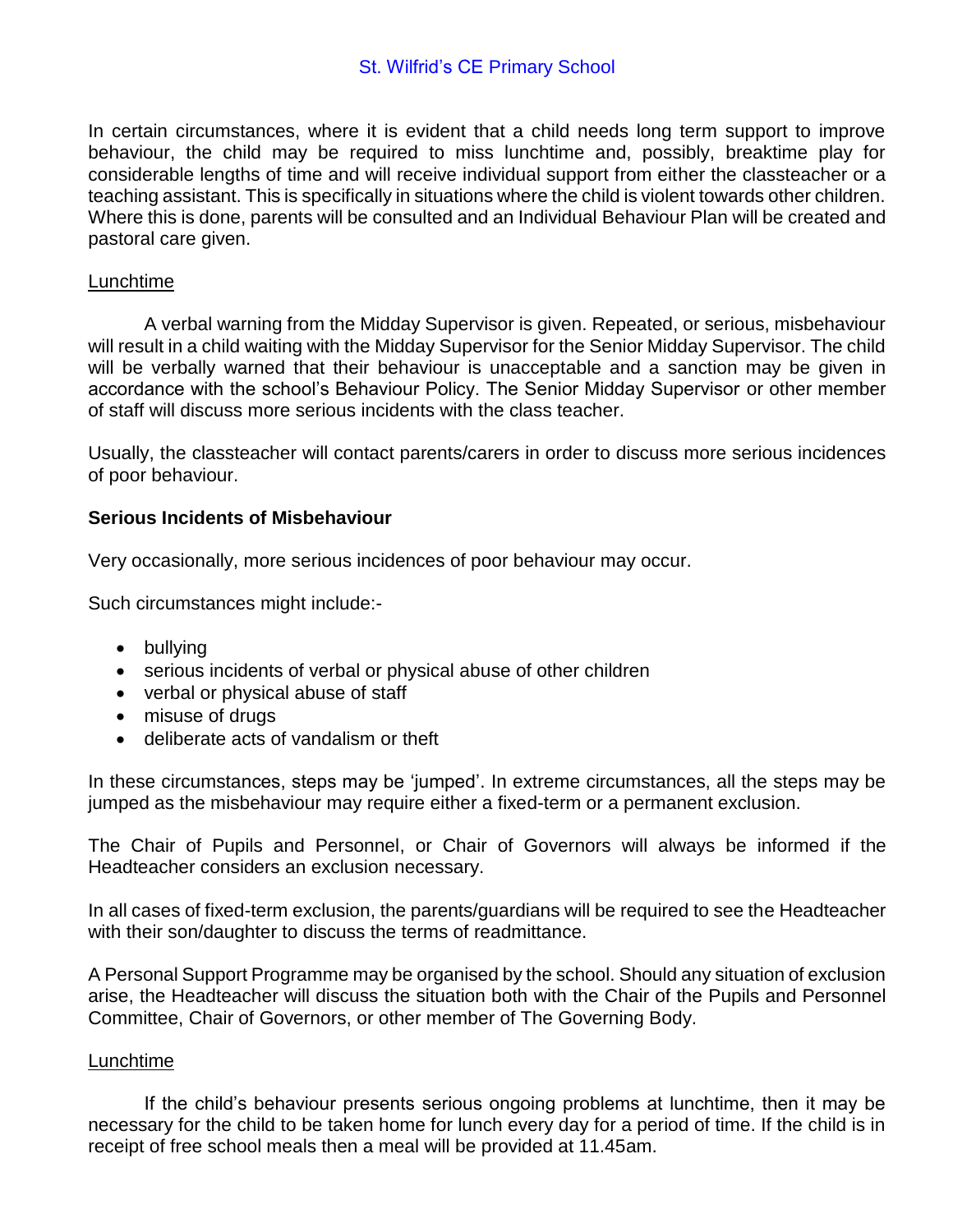In certain circumstances, where it is evident that a child needs long term support to improve behaviour, the child may be required to miss lunchtime and, possibly, breaktime play for considerable lengths of time and will receive individual support from either the classteacher or a teaching assistant. This is specifically in situations where the child is violent towards other children. Where this is done, parents will be consulted and an Individual Behaviour Plan will be created and pastoral care given.

## Lunchtime

A verbal warning from the Midday Supervisor is given. Repeated, or serious, misbehaviour will result in a child waiting with the Midday Supervisor for the Senior Midday Supervisor. The child will be verbally warned that their behaviour is unacceptable and a sanction may be given in accordance with the school's Behaviour Policy. The Senior Midday Supervisor or other member of staff will discuss more serious incidents with the class teacher.

Usually, the classteacher will contact parents/carers in order to discuss more serious incidences of poor behaviour.

# **Serious Incidents of Misbehaviour**

Very occasionally, more serious incidences of poor behaviour may occur.

Such circumstances might include:-

- bullying
- serious incidents of verbal or physical abuse of other children
- verbal or physical abuse of staff
- misuse of drugs
- deliberate acts of vandalism or theft

In these circumstances, steps may be 'jumped'. In extreme circumstances, all the steps may be jumped as the misbehaviour may require either a fixed-term or a permanent exclusion.

The Chair of Pupils and Personnel, or Chair of Governors will always be informed if the Headteacher considers an exclusion necessary.

In all cases of fixed-term exclusion, the parents/guardians will be required to see the Headteacher with their son/daughter to discuss the terms of readmittance.

A Personal Support Programme may be organised by the school. Should any situation of exclusion arise, the Headteacher will discuss the situation both with the Chair of the Pupils and Personnel Committee, Chair of Governors, or other member of The Governing Body.

#### Lunchtime

If the child's behaviour presents serious ongoing problems at lunchtime, then it may be necessary for the child to be taken home for lunch every day for a period of time. If the child is in receipt of free school meals then a meal will be provided at 11.45am.